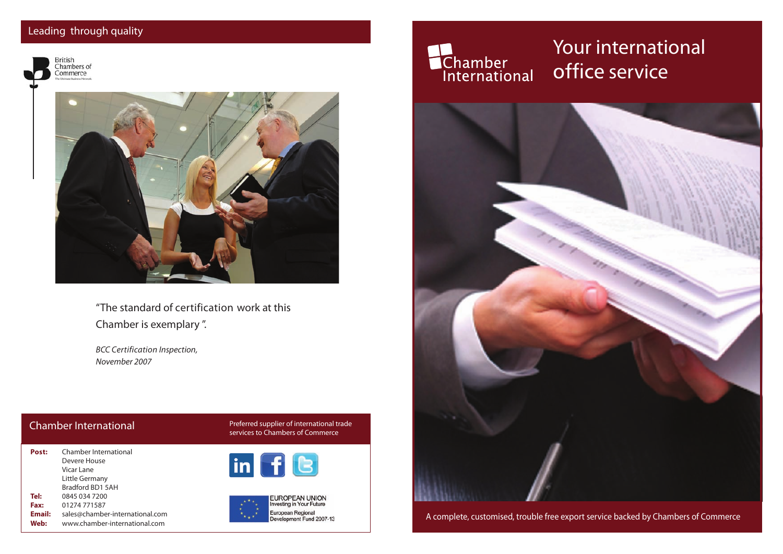#### Leading through quality



"The standard of certification work at this Chamber is exemplary ".

*BCC Certification Inspection, November 2007*

| Post:  | Chamber International           |
|--------|---------------------------------|
|        | Devere House                    |
|        | Vicar Lane                      |
|        | Little Germany                  |
|        | Bradford BD1 5AH                |
| Tel:   | 0845 034 7200                   |
| Fax:   | 01274 771587                    |
| Email: | sales@chamber-international.com |
| Web:   | www.chamber-international.com   |

Chamber International and Preferred supplier of international trade<br>Services to Chambers of Commerce







# **Chamber**<br>International

#### Your international office service



A complete, customised, trouble free export service backed by Chambers of Commerce